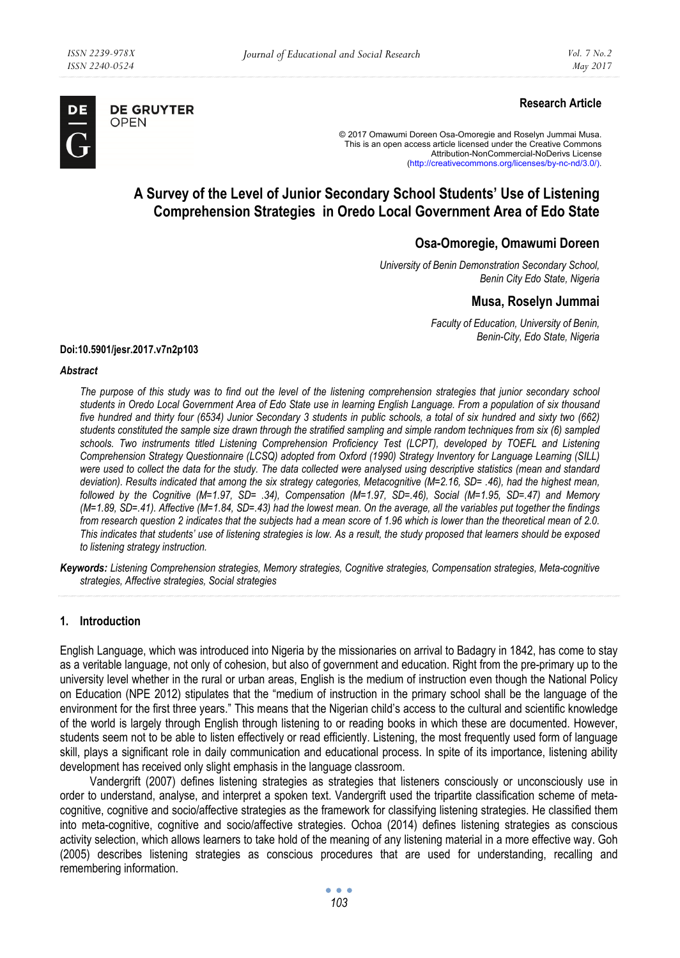

**DE GRUYTER** OPEN

# **Research Article**

© 2017 Omawumi Doreen Osa-Omoregie and Roselyn Jummai Musa. This is an open access article licensed under the Creative Commons Attribution-NonCommercial-NoDerivs License (http://creativecommons.org/licenses/by-nc-nd/3.0/).

# **A Survey of the Level of Junior Secondary School Students' Use of Listening Comprehension Strategies in Oredo Local Government Area of Edo State**

# **Osa-Omoregie, Omawumi Doreen**

*University of Benin Demonstration Secondary School, Benin City Edo State, Nigeria* 

# **Musa, Roselyn Jummai**

*Faculty of Education, University of Benin, Benin-City, Edo State, Nigeria* 

#### **Doi:10.5901/jesr.2017.v7n2p103**

#### *Abstract*

The purpose of this study was to find out the level of the listening comprehension strategies that junior secondary school *students in Oredo Local Government Area of Edo State use in learning English Language. From a population of six thousand five hundred and thirty four (6534) Junior Secondary 3 students in public schools, a total of six hundred and sixty two (662) students constituted the sample size drawn through the stratified sampling and simple random techniques from six (6) sampled schools. Two instruments titled Listening Comprehension Proficiency Test (LCPT), developed by TOEFL and Listening Comprehension Strategy Questionnaire (LCSQ) adopted from Oxford (1990) Strategy Inventory for Language Learning (SILL) were used to collect the data for the study. The data collected were analysed using descriptive statistics (mean and standard deviation). Results indicated that among the six strategy categories, Metacognitive (M=2.16, SD= .46), had the highest mean, followed by the Cognitive (M=1.97, SD= .34), Compensation (M=1.97, SD=.46), Social (M=1.95, SD=.47) and Memory (M=1.89, SD=.41). Affective (M=1.84, SD=.43) had the lowest mean. On the average, all the variables put together the findings from research question 2 indicates that the subjects had a mean score of 1.96 which is lower than the theoretical mean of 2.0. This indicates that students' use of listening strategies is low. As a result, the study proposed that learners should be exposed to listening strategy instruction.* 

*Keywords: Listening Comprehension strategies, Memory strategies, Cognitive strategies, Compensation strategies, Meta-cognitive strategies, Affective strategies, Social strategies* 

## **1. Introduction**

English Language, which was introduced into Nigeria by the missionaries on arrival to Badagry in 1842, has come to stay as a veritable language, not only of cohesion, but also of government and education. Right from the pre-primary up to the university level whether in the rural or urban areas, English is the medium of instruction even though the National Policy on Education (NPE 2012) stipulates that the "medium of instruction in the primary school shall be the language of the environment for the first three years." This means that the Nigerian child's access to the cultural and scientific knowledge of the world is largely through English through listening to or reading books in which these are documented. However, students seem not to be able to listen effectively or read efficiently. Listening, the most frequently used form of language skill, plays a significant role in daily communication and educational process. In spite of its importance, listening ability development has received only slight emphasis in the language classroom.

Vandergrift (2007) defines listening strategies as strategies that listeners consciously or unconsciously use in order to understand, analyse, and interpret a spoken text. Vandergrift used the tripartite classification scheme of metacognitive, cognitive and socio/affective strategies as the framework for classifying listening strategies. He classified them into meta-cognitive, cognitive and socio/affective strategies. Ochoa (2014) defines listening strategies as conscious activity selection, which allows learners to take hold of the meaning of any listening material in a more effective way. Goh (2005) describes listening strategies as conscious procedures that are used for understanding, recalling and remembering information.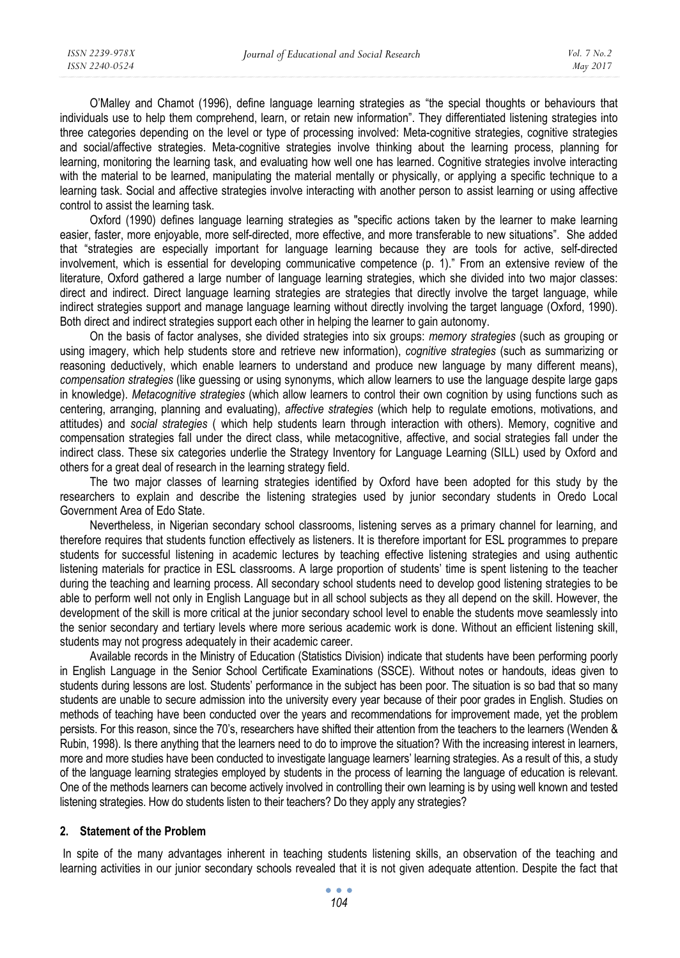O'Malley and Chamot (1996), define language learning strategies as "the special thoughts or behaviours that individuals use to help them comprehend, learn, or retain new information". They differentiated listening strategies into three categories depending on the level or type of processing involved: Meta-cognitive strategies, cognitive strategies and social/affective strategies. Meta-cognitive strategies involve thinking about the learning process, planning for learning, monitoring the learning task, and evaluating how well one has learned. Cognitive strategies involve interacting with the material to be learned, manipulating the material mentally or physically, or applying a specific technique to a learning task. Social and affective strategies involve interacting with another person to assist learning or using affective control to assist the learning task.

Oxford (1990) defines language learning strategies as "specific actions taken by the learner to make learning easier, faster, more enjoyable, more self-directed, more effective, and more transferable to new situations". She added that "strategies are especially important for language learning because they are tools for active, self-directed involvement, which is essential for developing communicative competence (p. 1)." From an extensive review of the literature, Oxford gathered a large number of language learning strategies, which she divided into two major classes: direct and indirect. Direct language learning strategies are strategies that directly involve the target language, while indirect strategies support and manage language learning without directly involving the target language (Oxford, 1990). Both direct and indirect strategies support each other in helping the learner to gain autonomy.

On the basis of factor analyses, she divided strategies into six groups: *memory strategies* (such as grouping or using imagery, which help students store and retrieve new information), *cognitive strategies* (such as summarizing or reasoning deductively, which enable learners to understand and produce new language by many different means), *compensation strategies* (like guessing or using synonyms, which allow learners to use the language despite large gaps in knowledge). *Metacognitive strategies* (which allow learners to control their own cognition by using functions such as centering, arranging, planning and evaluating), *affective strategies* (which help to regulate emotions, motivations, and attitudes) and *social strategies* ( which help students learn through interaction with others). Memory, cognitive and compensation strategies fall under the direct class, while metacognitive, affective, and social strategies fall under the indirect class. These six categories underlie the Strategy Inventory for Language Learning (SILL) used by Oxford and others for a great deal of research in the learning strategy field.

The two major classes of learning strategies identified by Oxford have been adopted for this study by the researchers to explain and describe the listening strategies used by junior secondary students in Oredo Local Government Area of Edo State.

Nevertheless, in Nigerian secondary school classrooms, listening serves as a primary channel for learning, and therefore requires that students function effectively as listeners. It is therefore important for ESL programmes to prepare students for successful listening in academic lectures by teaching effective listening strategies and using authentic listening materials for practice in ESL classrooms. A large proportion of students' time is spent listening to the teacher during the teaching and learning process. All secondary school students need to develop good listening strategies to be able to perform well not only in English Language but in all school subjects as they all depend on the skill. However, the development of the skill is more critical at the junior secondary school level to enable the students move seamlessly into the senior secondary and tertiary levels where more serious academic work is done. Without an efficient listening skill, students may not progress adequately in their academic career.

Available records in the Ministry of Education (Statistics Division) indicate that students have been performing poorly in English Language in the Senior School Certificate Examinations (SSCE). Without notes or handouts, ideas given to students during lessons are lost. Students' performance in the subject has been poor. The situation is so bad that so many students are unable to secure admission into the university every year because of their poor grades in English. Studies on methods of teaching have been conducted over the years and recommendations for improvement made, yet the problem persists. For this reason, since the 70's, researchers have shifted their attention from the teachers to the learners (Wenden & Rubin, 1998). Is there anything that the learners need to do to improve the situation? With the increasing interest in learners, more and more studies have been conducted to investigate language learners' learning strategies. As a result of this, a study of the language learning strategies employed by students in the process of learning the language of education is relevant. One of the methods learners can become actively involved in controlling their own learning is by using well known and tested listening strategies. How do students listen to their teachers? Do they apply any strategies?

#### **2. Statement of the Problem**

 In spite of the many advantages inherent in teaching students listening skills, an observation of the teaching and learning activities in our junior secondary schools revealed that it is not given adequate attention. Despite the fact that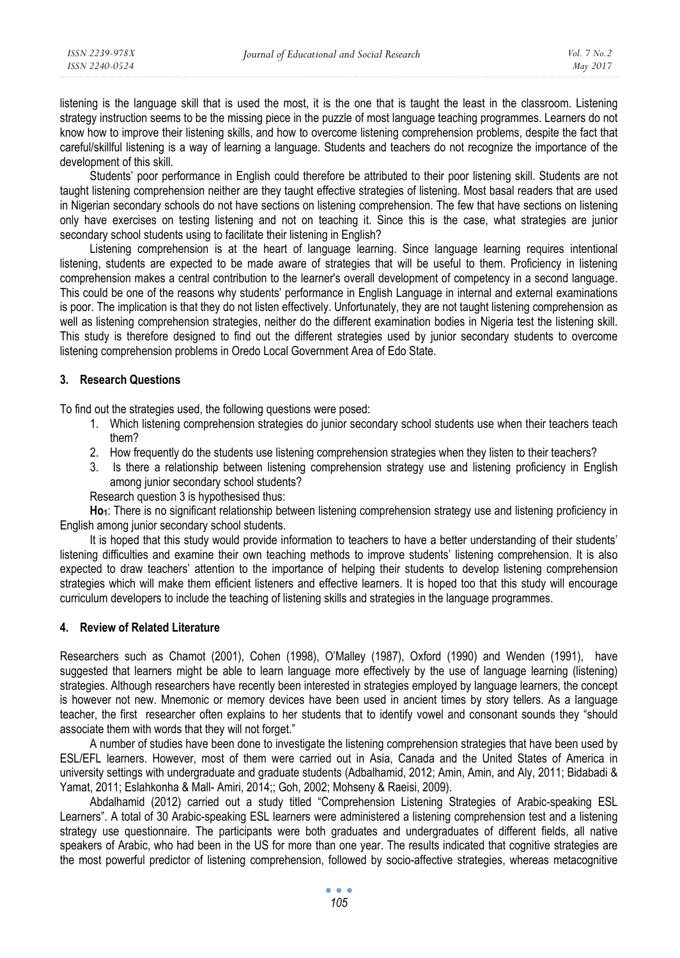listening is the language skill that is used the most, it is the one that is taught the least in the classroom. Listening strategy instruction seems to be the missing piece in the puzzle of most language teaching programmes. Learners do not know how to improve their listening skills, and how to overcome listening comprehension problems, despite the fact that careful/skillful listening is a way of learning a language. Students and teachers do not recognize the importance of the development of this skill.

Students' poor performance in English could therefore be attributed to their poor listening skill. Students are not taught listening comprehension neither are they taught effective strategies of listening. Most basal readers that are used in Nigerian secondary schools do not have sections on listening comprehension. The few that have sections on listening only have exercises on testing listening and not on teaching it. Since this is the case, what strategies are junior secondary school students using to facilitate their listening in English?

Listening comprehension is at the heart of language learning. Since language learning requires intentional listening, students are expected to be made aware of strategies that will be useful to them. Proficiency in listening comprehension makes a central contribution to the learner's overall development of competency in a second language. This could be one of the reasons why students' performance in English Language in internal and external examinations is poor. The implication is that they do not listen effectively. Unfortunately, they are not taught listening comprehension as well as listening comprehension strategies, neither do the different examination bodies in Nigeria test the listening skill. This study is therefore designed to find out the different strategies used by junior secondary students to overcome listening comprehension problems in Oredo Local Government Area of Edo State.

## **3. Research Questions**

To find out the strategies used, the following questions were posed:

- 1. Which listening comprehension strategies do junior secondary school students use when their teachers teach them?
- 2. How frequently do the students use listening comprehension strategies when they listen to their teachers?
- 3. Is there a relationship between listening comprehension strategy use and listening proficiency in English among junior secondary school students?

Research question 3 is hypothesised thus:

**Ho1**: There is no significant relationship between listening comprehension strategy use and listening proficiency in English among junior secondary school students.

It is hoped that this study would provide information to teachers to have a better understanding of their students' listening difficulties and examine their own teaching methods to improve students' listening comprehension. It is also expected to draw teachers' attention to the importance of helping their students to develop listening comprehension strategies which will make them efficient listeners and effective learners. It is hoped too that this study will encourage curriculum developers to include the teaching of listening skills and strategies in the language programmes.

#### **4. Review of Related Literature**

Researchers such as Chamot (2001), Cohen (1998), O'Malley (1987), Oxford (1990) and Wenden (1991), have suggested that learners might be able to learn language more effectively by the use of language learning (listening) strategies. Although researchers have recently been interested in strategies employed by language learners, the concept is however not new. Mnemonic or memory devices have been used in ancient times by story tellers. As a language teacher, the first researcher often explains to her students that to identify vowel and consonant sounds they "should associate them with words that they will not forget."

A number of studies have been done to investigate the listening comprehension strategies that have been used by ESL/EFL learners. However, most of them were carried out in Asia, Canada and the United States of America in university settings with undergraduate and graduate students (Adbalhamid, 2012; Amin, Amin, and Aly, 2011; Bidabadi & Yamat, 2011; Eslahkonha & Mall- Amiri, 2014;; Goh, 2002; Mohseny & Raeisi, 2009).

Abdalhamid (2012) carried out a study titled "Comprehension Listening Strategies of Arabic-speaking ESL Learners". A total of 30 Arabic-speaking ESL learners were administered a listening comprehension test and a listening strategy use questionnaire. The participants were both graduates and undergraduates of different fields, all native speakers of Arabic, who had been in the US for more than one year. The results indicated that cognitive strategies are the most powerful predictor of listening comprehension, followed by socio-affective strategies, whereas metacognitive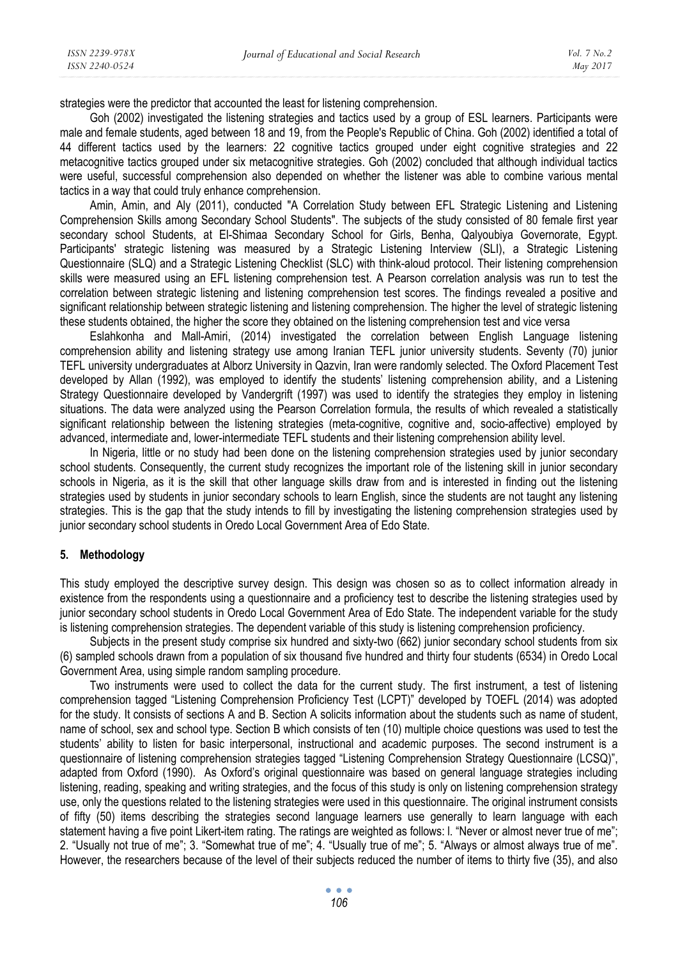strategies were the predictor that accounted the least for listening comprehension.

Goh (2002) investigated the listening strategies and tactics used by a group of ESL learners. Participants were male and female students, aged between 18 and 19, from the People's Republic of China. Goh (2002) identified a total of 44 different tactics used by the learners: 22 cognitive tactics grouped under eight cognitive strategies and 22 metacognitive tactics grouped under six metacognitive strategies. Goh (2002) concluded that although individual tactics were useful, successful comprehension also depended on whether the listener was able to combine various mental tactics in a way that could truly enhance comprehension.

Amin, Amin, and Aly (2011), conducted "A Correlation Study between EFL Strategic Listening and Listening Comprehension Skills among Secondary School Students". The subjects of the study consisted of 80 female first year secondary school Students, at El-Shimaa Secondary School for Girls, Benha, Qalyoubiya Governorate, Egypt. Participants' strategic listening was measured by a Strategic Listening Interview (SLI), a Strategic Listening Questionnaire (SLQ) and a Strategic Listening Checklist (SLC) with think-aloud protocol. Their listening comprehension skills were measured using an EFL listening comprehension test. A Pearson correlation analysis was run to test the correlation between strategic listening and listening comprehension test scores. The findings revealed a positive and significant relationship between strategic listening and listening comprehension. The higher the level of strategic listening these students obtained, the higher the score they obtained on the listening comprehension test and vice versa

Eslahkonha and Mall-Amiri, (2014) investigated the correlation between English Language listening comprehension ability and listening strategy use among Iranian TEFL junior university students. Seventy (70) junior TEFL university undergraduates at Alborz University in Qazvin, Iran were randomly selected. The Oxford Placement Test developed by Allan (1992), was employed to identify the students' listening comprehension ability, and a Listening Strategy Questionnaire developed by Vandergrift (1997) was used to identify the strategies they employ in listening situations. The data were analyzed using the Pearson Correlation formula, the results of which revealed a statistically significant relationship between the listening strategies (meta-cognitive, cognitive and, socio-affective) employed by advanced, intermediate and, lower-intermediate TEFL students and their listening comprehension ability level.

In Nigeria, little or no study had been done on the listening comprehension strategies used by junior secondary school students. Consequently, the current study recognizes the important role of the listening skill in junior secondary schools in Nigeria, as it is the skill that other language skills draw from and is interested in finding out the listening strategies used by students in junior secondary schools to learn English, since the students are not taught any listening strategies. This is the gap that the study intends to fill by investigating the listening comprehension strategies used by junior secondary school students in Oredo Local Government Area of Edo State.

#### **5. Methodology**

This study employed the descriptive survey design. This design was chosen so as to collect information already in existence from the respondents using a questionnaire and a proficiency test to describe the listening strategies used by junior secondary school students in Oredo Local Government Area of Edo State. The independent variable for the study is listening comprehension strategies. The dependent variable of this study is listening comprehension proficiency.

Subjects in the present study comprise six hundred and sixty-two (662) junior secondary school students from six (6) sampled schools drawn from a population of six thousand five hundred and thirty four students (6534) in Oredo Local Government Area, using simple random sampling procedure.

Two instruments were used to collect the data for the current study. The first instrument, a test of listening comprehension tagged "Listening Comprehension Proficiency Test (LCPT)" developed by TOEFL (2014) was adopted for the study. It consists of sections A and B. Section A solicits information about the students such as name of student, name of school, sex and school type. Section B which consists of ten (10) multiple choice questions was used to test the students' ability to listen for basic interpersonal, instructional and academic purposes. The second instrument is a questionnaire of listening comprehension strategies tagged "Listening Comprehension Strategy Questionnaire (LCSQ)", adapted from Oxford (1990). As Oxford's original questionnaire was based on general language strategies including listening, reading, speaking and writing strategies, and the focus of this study is only on listening comprehension strategy use, only the questions related to the listening strategies were used in this questionnaire. The original instrument consists of fifty (50) items describing the strategies second language learners use generally to learn language with each statement having a five point Likert-item rating. The ratings are weighted as follows: l. "Never or almost never true of me"; 2. "Usually not true of me"; 3. "Somewhat true of me"; 4. "Usually true of me"; 5. "Always or almost always true of me". However, the researchers because of the level of their subjects reduced the number of items to thirty five (35), and also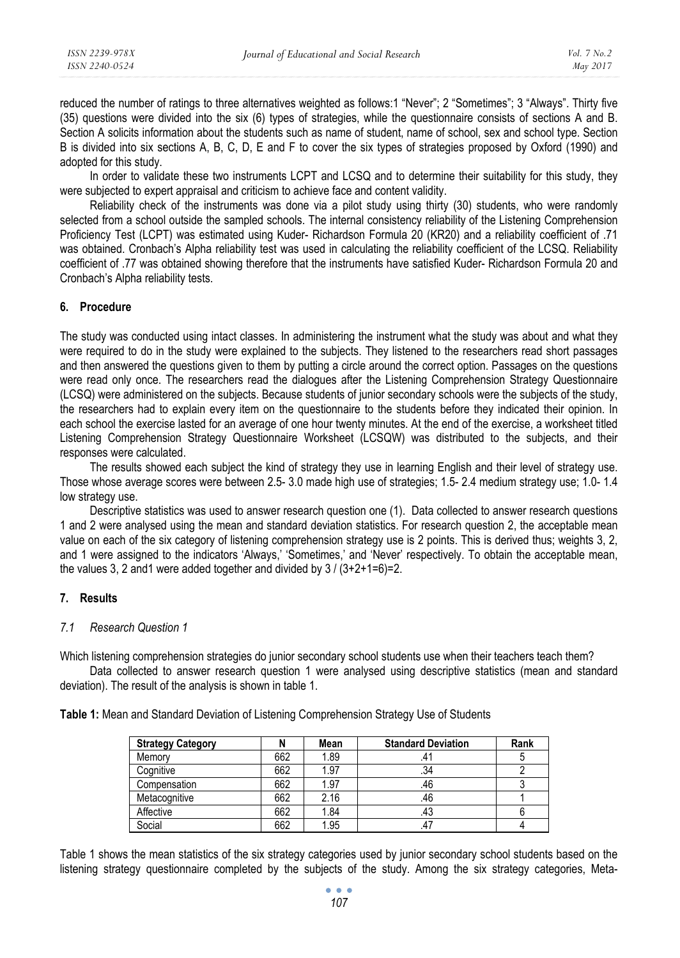reduced the number of ratings to three alternatives weighted as follows:1 "Never"; 2 "Sometimes"; 3 "Always". Thirty five (35) questions were divided into the six (6) types of strategies, while the questionnaire consists of sections A and B. Section A solicits information about the students such as name of student, name of school, sex and school type. Section B is divided into six sections A, B, C, D, E and F to cover the six types of strategies proposed by Oxford (1990) and adopted for this study.

In order to validate these two instruments LCPT and LCSQ and to determine their suitability for this study, they were subjected to expert appraisal and criticism to achieve face and content validity.

Reliability check of the instruments was done via a pilot study using thirty (30) students, who were randomly selected from a school outside the sampled schools. The internal consistency reliability of the Listening Comprehension Proficiency Test (LCPT) was estimated using Kuder- Richardson Formula 20 (KR20) and a reliability coefficient of .71 was obtained. Cronbach's Alpha reliability test was used in calculating the reliability coefficient of the LCSQ. Reliability coefficient of .77 was obtained showing therefore that the instruments have satisfied Kuder- Richardson Formula 20 and Cronbach's Alpha reliability tests.

#### **6. Procedure**

The study was conducted using intact classes. In administering the instrument what the study was about and what they were required to do in the study were explained to the subjects. They listened to the researchers read short passages and then answered the questions given to them by putting a circle around the correct option. Passages on the questions were read only once. The researchers read the dialogues after the Listening Comprehension Strategy Questionnaire (LCSQ) were administered on the subjects. Because students of junior secondary schools were the subjects of the study, the researchers had to explain every item on the questionnaire to the students before they indicated their opinion. In each school the exercise lasted for an average of one hour twenty minutes. At the end of the exercise, a worksheet titled Listening Comprehension Strategy Questionnaire Worksheet (LCSQW) was distributed to the subjects, and their responses were calculated.

The results showed each subject the kind of strategy they use in learning English and their level of strategy use. Those whose average scores were between 2.5- 3.0 made high use of strategies; 1.5- 2.4 medium strategy use; 1.0- 1.4 low strategy use.

Descriptive statistics was used to answer research question one (1). Data collected to answer research questions 1 and 2 were analysed using the mean and standard deviation statistics. For research question 2, the acceptable mean value on each of the six category of listening comprehension strategy use is 2 points. This is derived thus; weights 3, 2, and 1 were assigned to the indicators 'Always,' 'Sometimes,' and 'Never' respectively. To obtain the acceptable mean, the values 3, 2 and 1 were added together and divided by  $3 / (3+2+1=6)=2$ .

### **7. Results**

### *7.1 Research Question 1*

Which listening comprehension strategies do junior secondary school students use when their teachers teach them?

Data collected to answer research question 1 were analysed using descriptive statistics (mean and standard deviation). The result of the analysis is shown in table 1.

|  | Table 1: Mean and Standard Deviation of Listening Comprehension Strategy Use of Students |  |
|--|------------------------------------------------------------------------------------------|--|
|  |                                                                                          |  |

| <b>Strategy Category</b> |     | Mean | <b>Standard Deviation</b> | Rank |
|--------------------------|-----|------|---------------------------|------|
| Memory                   | 662 | 1.89 |                           |      |
| Cognitive                | 662 | 1.97 | .34                       |      |
| Compensation             | 662 | 1.97 | .46                       |      |
| Metacognitive            | 662 | 2.16 | .46                       |      |
| Affective                | 662 | 1.84 | .43                       |      |
| Social                   | 662 | 1.95 |                           |      |

Table 1 shows the mean statistics of the six strategy categories used by junior secondary school students based on the listening strategy questionnaire completed by the subjects of the study. Among the six strategy categories, Meta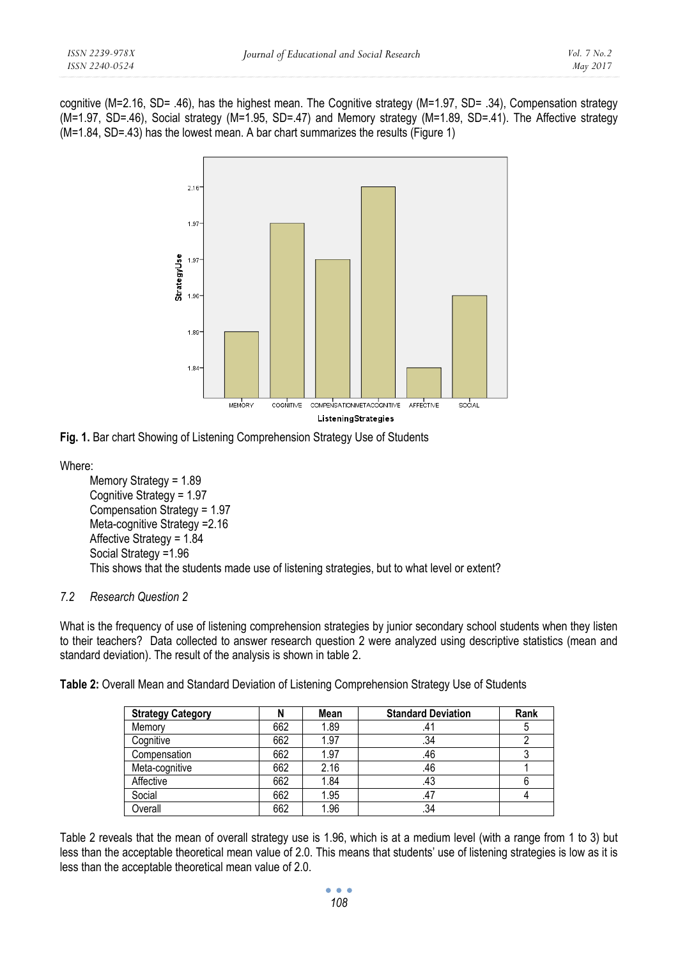cognitive (M=2.16, SD= .46), has the highest mean. The Cognitive strategy (M=1.97, SD= .34), Compensation strategy (M=1.97, SD=.46), Social strategy (M=1.95, SD=.47) and Memory strategy (M=1.89, SD=.41). The Affective strategy (M=1.84, SD=.43) has the lowest mean. A bar chart summarizes the results (Figure 1)





Where:

Memory Strategy = 1.89 Cognitive Strategy = 1.97 Compensation Strategy = 1.97 Meta-cognitive Strategy =2.16 Affective Strategy = 1.84 Social Strategy =1.96 This shows that the students made use of listening strategies, but to what level or extent?

# *7.2 Research Question 2*

What is the frequency of use of listening comprehension strategies by junior secondary school students when they listen to their teachers? Data collected to answer research question 2 were analyzed using descriptive statistics (mean and standard deviation). The result of the analysis is shown in table 2.

**Table 2:** Overall Mean and Standard Deviation of Listening Comprehension Strategy Use of Students

| <b>Strategy Category</b> |     | Mean | <b>Standard Deviation</b> | Rank |
|--------------------------|-----|------|---------------------------|------|
| Memory                   | 662 | 1.89 | .41                       |      |
| Cognitive                | 662 | 1.97 | .34                       |      |
| Compensation             | 662 | 1.97 | .46                       |      |
| Meta-cognitive           | 662 | 2.16 | .46                       |      |
| Affective                | 662 | 1.84 | .43                       |      |
| Social                   | 662 | 1.95 |                           |      |
| Overall                  | 662 | 1.96 | .34                       |      |

Table 2 reveals that the mean of overall strategy use is 1.96, which is at a medium level (with a range from 1 to 3) but less than the acceptable theoretical mean value of 2.0. This means that students' use of listening strategies is low as it is less than the acceptable theoretical mean value of 2.0.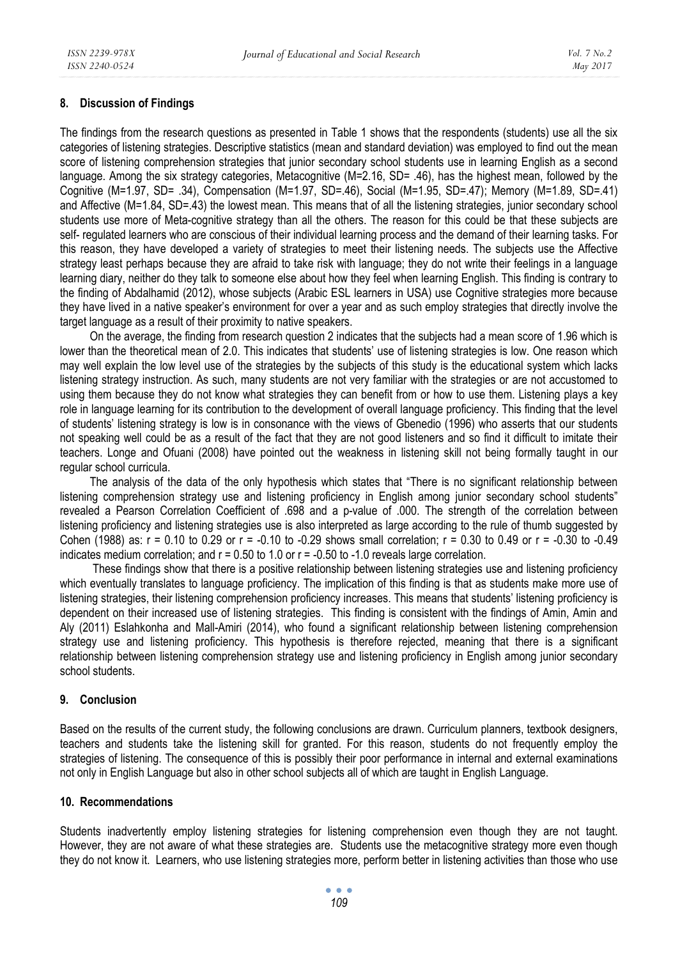## **8. Discussion of Findings**

The findings from the research questions as presented in Table 1 shows that the respondents (students) use all the six categories of listening strategies. Descriptive statistics (mean and standard deviation) was employed to find out the mean score of listening comprehension strategies that junior secondary school students use in learning English as a second language. Among the six strategy categories, Metacognitive (M=2.16, SD= .46), has the highest mean, followed by the Cognitive (M=1.97, SD= .34), Compensation (M=1.97, SD=.46), Social (M=1.95, SD=.47); Memory (M=1.89, SD=.41) and Affective (M=1.84, SD=.43) the lowest mean. This means that of all the listening strategies, junior secondary school students use more of Meta-cognitive strategy than all the others. The reason for this could be that these subjects are self- regulated learners who are conscious of their individual learning process and the demand of their learning tasks. For this reason, they have developed a variety of strategies to meet their listening needs. The subjects use the Affective strategy least perhaps because they are afraid to take risk with language; they do not write their feelings in a language learning diary, neither do they talk to someone else about how they feel when learning English. This finding is contrary to the finding of Abdalhamid (2012), whose subjects (Arabic ESL learners in USA) use Cognitive strategies more because they have lived in a native speaker's environment for over a year and as such employ strategies that directly involve the target language as a result of their proximity to native speakers.

On the average, the finding from research question 2 indicates that the subjects had a mean score of 1.96 which is lower than the theoretical mean of 2.0. This indicates that students' use of listening strategies is low. One reason which may well explain the low level use of the strategies by the subjects of this study is the educational system which lacks listening strategy instruction. As such, many students are not very familiar with the strategies or are not accustomed to using them because they do not know what strategies they can benefit from or how to use them. Listening plays a key role in language learning for its contribution to the development of overall language proficiency. This finding that the level of students' listening strategy is low is in consonance with the views of Gbenedio (1996) who asserts that our students not speaking well could be as a result of the fact that they are not good listeners and so find it difficult to imitate their teachers. Longe and Ofuani (2008) have pointed out the weakness in listening skill not being formally taught in our regular school curricula.

The analysis of the data of the only hypothesis which states that "There is no significant relationship between listening comprehension strategy use and listening proficiency in English among junior secondary school students" revealed a Pearson Correlation Coefficient of .698 and a p-value of .000. The strength of the correlation between listening proficiency and listening strategies use is also interpreted as large according to the rule of thumb suggested by Cohen (1988) as: r = 0.10 to 0.29 or r = -0.10 to -0.29 shows small correlation; r = 0.30 to 0.49 or r = -0.30 to -0.49 indicates medium correlation; and  $r = 0.50$  to 1.0 or  $r = -0.50$  to -1.0 reveals large correlation.

 These findings show that there is a positive relationship between listening strategies use and listening proficiency which eventually translates to language proficiency. The implication of this finding is that as students make more use of listening strategies, their listening comprehension proficiency increases. This means that students' listening proficiency is dependent on their increased use of listening strategies. This finding is consistent with the findings of Amin, Amin and Aly (2011) Eslahkonha and Mall-Amiri (2014), who found a significant relationship between listening comprehension strategy use and listening proficiency. This hypothesis is therefore rejected, meaning that there is a significant relationship between listening comprehension strategy use and listening proficiency in English among junior secondary school students.

#### **9. Conclusion**

Based on the results of the current study, the following conclusions are drawn. Curriculum planners, textbook designers, teachers and students take the listening skill for granted. For this reason, students do not frequently employ the strategies of listening. The consequence of this is possibly their poor performance in internal and external examinations not only in English Language but also in other school subjects all of which are taught in English Language.

#### **10. Recommendations**

Students inadvertently employ listening strategies for listening comprehension even though they are not taught. However, they are not aware of what these strategies are. Students use the metacognitive strategy more even though they do not know it. Learners, who use listening strategies more, perform better in listening activities than those who use